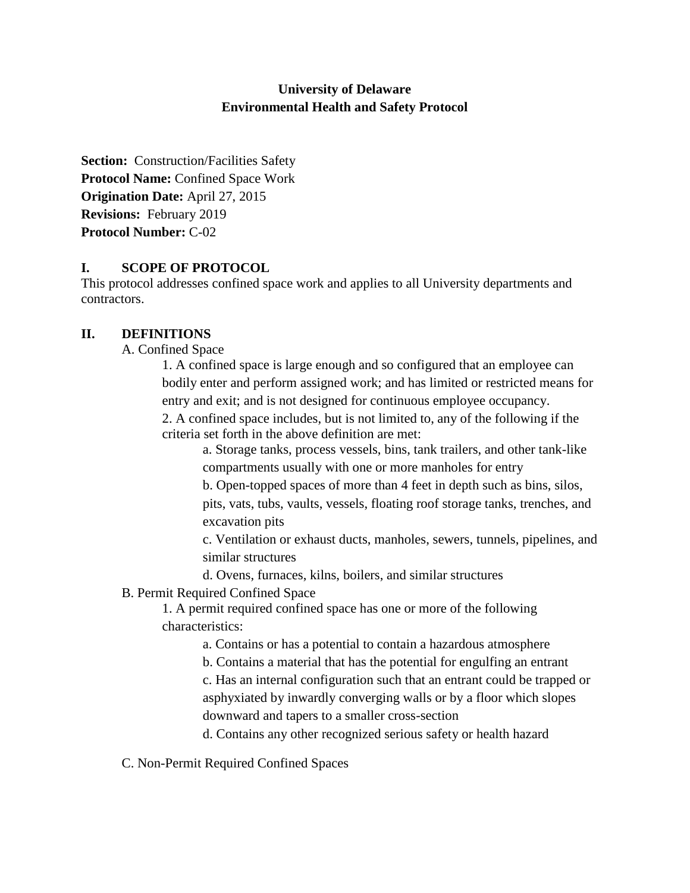# **University of Delaware Environmental Health and Safety Protocol**

**Section:** Construction/Facilities Safety **Protocol Name:** Confined Space Work **Origination Date:** April 27, 2015 **Revisions:** February 2019 **Protocol Number:** C-02

## **I. SCOPE OF PROTOCOL**

This protocol addresses confined space work and applies to all University departments and contractors.

## **II. DEFINITIONS**

A. Confined Space

1. A confined space is large enough and so configured that an employee can bodily enter and perform assigned work; and has limited or restricted means for entry and exit; and is not designed for continuous employee occupancy.

2. A confined space includes, but is not limited to, any of the following if the criteria set forth in the above definition are met:

a. Storage tanks, process vessels, bins, tank trailers, and other tank-like compartments usually with one or more manholes for entry

b. Open-topped spaces of more than 4 feet in depth such as bins, silos,

pits, vats, tubs, vaults, vessels, floating roof storage tanks, trenches, and excavation pits

c. Ventilation or exhaust ducts, manholes, sewers, tunnels, pipelines, and similar structures

d. Ovens, furnaces, kilns, boilers, and similar structures

B. Permit Required Confined Space

1. A permit required confined space has one or more of the following characteristics:

a. Contains or has a potential to contain a hazardous atmosphere

b. Contains a material that has the potential for engulfing an entrant

c. Has an internal configuration such that an entrant could be trapped or asphyxiated by inwardly converging walls or by a floor which slopes downward and tapers to a smaller cross-section

d. Contains any other recognized serious safety or health hazard

C. Non-Permit Required Confined Spaces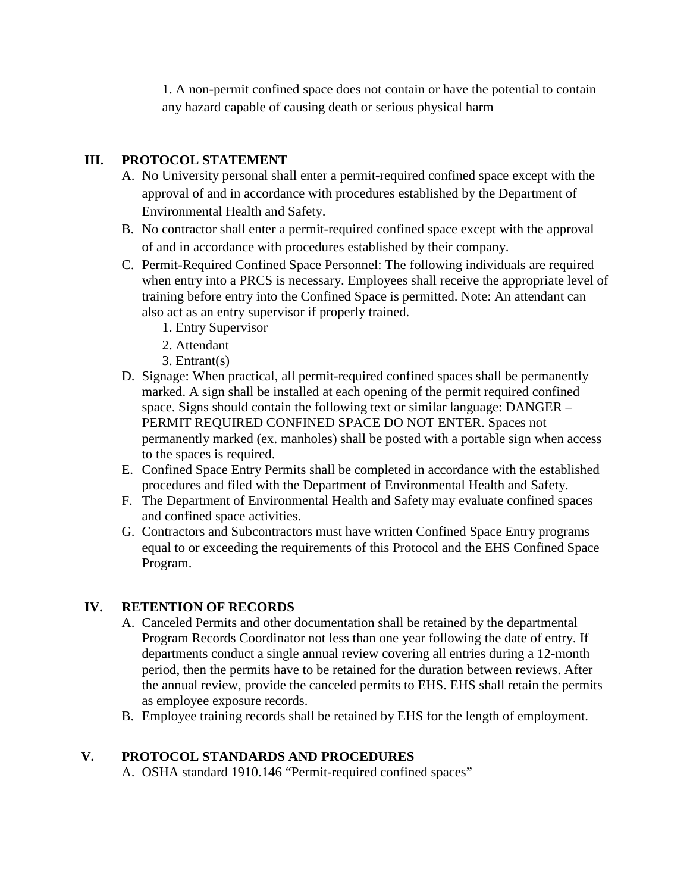1. A non-permit confined space does not contain or have the potential to contain any hazard capable of causing death or serious physical harm

# **III. PROTOCOL STATEMENT**

- A. No University personal shall enter a permit-required confined space except with the approval of and in accordance with procedures established by the Department of Environmental Health and Safety.
- B. No contractor shall enter a permit-required confined space except with the approval of and in accordance with procedures established by their company.
- C. Permit-Required Confined Space Personnel: The following individuals are required when entry into a PRCS is necessary. Employees shall receive the appropriate level of training before entry into the Confined Space is permitted. Note: An attendant can also act as an entry supervisor if properly trained.
	- 1. Entry Supervisor
	- 2. Attendant
	- 3. Entrant(s)
- D. Signage: When practical, all permit-required confined spaces shall be permanently marked. A sign shall be installed at each opening of the permit required confined space. Signs should contain the following text or similar language: DANGER – PERMIT REQUIRED CONFINED SPACE DO NOT ENTER. Spaces not permanently marked (ex. manholes) shall be posted with a portable sign when access to the spaces is required.
- E. Confined Space Entry Permits shall be completed in accordance with the established procedures and filed with the Department of Environmental Health and Safety.
- F. The Department of Environmental Health and Safety may evaluate confined spaces and confined space activities.
- G. Contractors and Subcontractors must have written Confined Space Entry programs equal to or exceeding the requirements of this Protocol and the EHS Confined Space Program.

### **IV. RETENTION OF RECORDS**

- A. Canceled Permits and other documentation shall be retained by the departmental Program Records Coordinator not less than one year following the date of entry. If departments conduct a single annual review covering all entries during a 12-month period, then the permits have to be retained for the duration between reviews. After the annual review, provide the canceled permits to EHS. EHS shall retain the permits as employee exposure records.
- B. Employee training records shall be retained by EHS for the length of employment.

### **V. PROTOCOL STANDARDS AND PROCEDURES**

A. OSHA standard 1910.146 "Permit-required confined spaces"